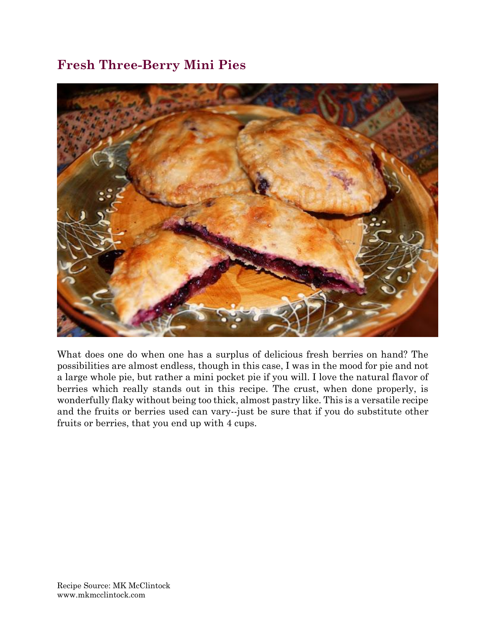## **Fresh Three-Berry Mini Pies**



What does one do when one has a surplus of delicious fresh berries on hand? The possibilities are almost endless, though in this case, I was in the mood for pie and not a large whole pie, but rather a mini pocket pie if you will. I love the natural flavor of berries which really stands out in this recipe. The crust, when done properly, is wonderfully flaky without being too thick, almost pastry like. This is a versatile recipe and the fruits or berries used can vary--just be sure that if you do substitute other fruits or berries, that you end up with 4 cups.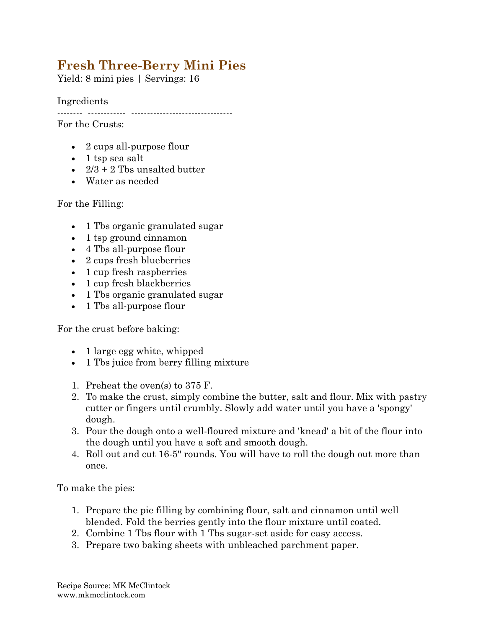## **Fresh Three-Berry Mini Pies**

Yield: 8 mini pies | Servings: 16

Ingredients

-------- ------------ --------------------------------

For the Crusts:

- 2 cups all-purpose flour
- $\bullet$  1 tsp sea salt
- $2/3 + 2$  Tbs unsalted butter
- Water as needed

For the Filling:

- 1 Tbs organic granulated sugar
- 1 tsp ground cinnamon
- 4 Tbs all-purpose flour
- 2 cups fresh blueberries
- 1 cup fresh raspberries
- 1 cup fresh blackberries
- 1 Tbs organic granulated sugar
- 1 Tbs all-purpose flour

For the crust before baking:

- 1 large egg white, whipped
- 1 Tbs juice from berry filling mixture
- 1. Preheat the oven(s) to 375 F.
- 2. To make the crust, simply combine the butter, salt and flour. Mix with pastry cutter or fingers until crumbly. Slowly add water until you have a 'spongy' dough.
- 3. Pour the dough onto a well-floured mixture and 'knead' a bit of the flour into the dough until you have a soft and smooth dough.
- 4. Roll out and cut 16-5" rounds. You will have to roll the dough out more than once.

To make the pies:

- 1. Prepare the pie filling by combining flour, salt and cinnamon until well blended. Fold the berries gently into the flour mixture until coated.
- 2. Combine 1 Tbs flour with 1 Tbs sugar-set aside for easy access.
- 3. Prepare two baking sheets with unbleached parchment paper.